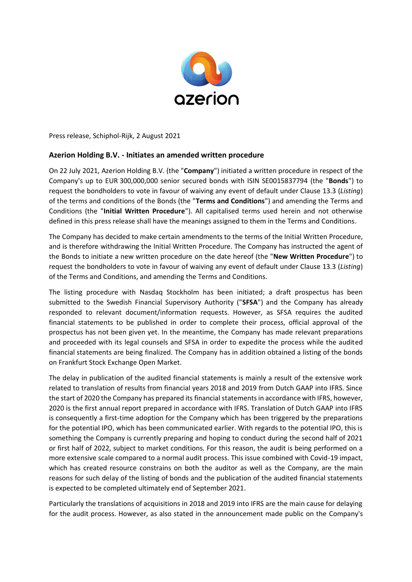

Press release, Schiphol-Rijk, 2 August 2021

## **Azerion Holding B.V. - Initiates an amended written procedure**

On 22 July 2021, Azerion Holding B.V. (the "**Company**") initiated a written procedure in respect of the Company's up to EUR 300,000,000 senior secured bonds with ISIN SE0015837794 (the "**Bonds**") to request the bondholders to vote in favour of waiving any event of default under Clause 13.3 (*Listing*) of the terms and conditions of the Bonds (the "**Terms and Conditions**") and amending the Terms and Conditions (the "**Initial Written Procedure**"). All capitalised terms used herein and not otherwise defined in this press release shall have the meanings assigned to them in the Terms and Conditions.

The Company has decided to make certain amendments to the terms of the Initial Written Procedure, and is therefore withdrawing the Initial Written Procedure. The Company has instructed the agent of the Bonds to initiate a new written procedure on the date hereof (the "**New Written Procedure**") to request the bondholders to vote in favour of waiving any event of default under Clause 13.3 (*Listing*) of the Terms and Conditions, and amending the Terms and Conditions.

The listing procedure with Nasdaq Stockholm has been initiated; a draft prospectus has been submitted to the Swedish Financial Supervisory Authority ("**SFSA**") and the Company has already responded to relevant document/information requests. However, as SFSA requires the audited financial statements to be published in order to complete their process, official approval of the prospectus has not been given yet. In the meantime, the Company has made relevant preparations and proceeded with its legal counsels and SFSA in order to expedite the process while the audited financial statements are being finalized. The Company has in addition obtained a listing of the bonds on Frankfurt Stock Exchange Open Market.

The delay in publication of the audited financial statements is mainly a result of the extensive work related to translation of results from financial years 2018 and 2019 from Dutch GAAP into IFRS. Since the start of 2020 the Company has prepared its financial statements in accordance with IFRS, however, 2020 is the first annual report prepared in accordance with IFRS. Translation of Dutch GAAP into IFRS is consequently a first-time adoption for the Company which has been triggered by the preparations for the potential IPO, which has been communicated earlier. With regards to the potential IPO, this is something the Company is currently preparing and hoping to conduct during the second half of 2021 or first half of 2022, subject to market conditions. For this reason, the audit is being performed on a more extensive scale compared to a normal audit process. This issue combined with Covid-19 impact, which has created resource constrains on both the auditor as well as the Company, are the main reasons for such delay of the listing of bonds and the publication of the audited financial statements is expected to be completed ultimately end of September 2021.

Particularly the translations of acquisitions in 2018 and 2019 into IFRS are the main cause for delaying for the audit process. However, as also stated in the announcement made public on the Company's